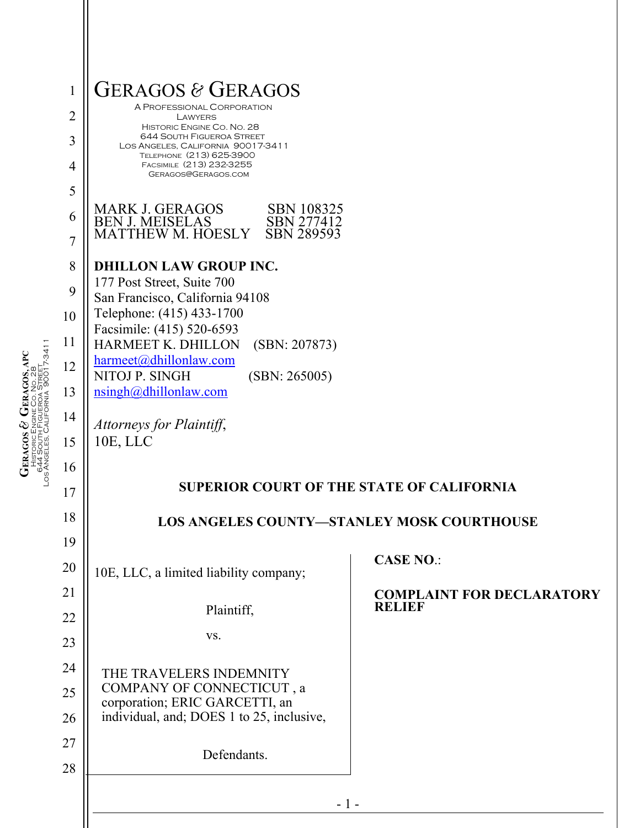| $\mathbf{1}$   | <b>GERAGOS &amp; GERAGOS</b>                                                                                                                                                                    |                                                   |
|----------------|-------------------------------------------------------------------------------------------------------------------------------------------------------------------------------------------------|---------------------------------------------------|
| $\overline{2}$ | A PROFESSIONAL CORPORATION<br>LAWYERS                                                                                                                                                           |                                                   |
| 3              | HISTORIC ENGINE CO. NO. 28<br><b>644 SOUTH FIGUEROA STREET</b><br>LOS ANGELES, CALIFORNIA 90017-3411                                                                                            |                                                   |
| 4              | TELEPHONE (213) 625-3900<br>FACSIMILE (213) 232-3255<br>GERAGOS@GERAGOS.COM                                                                                                                     |                                                   |
| 5              |                                                                                                                                                                                                 |                                                   |
| 6              | <b>MARK J. GERAGOS</b><br>SBN 108325<br><b>BEN J. MEISELAS</b><br>SBN 277412                                                                                                                    |                                                   |
| $\overline{7}$ | SBN 289593<br><b>MATTHEW M. HOESLY</b>                                                                                                                                                          |                                                   |
| 8              | <b>DHILLON LAW GROUP INC.</b><br>177 Post Street, Suite 700<br>San Francisco, California 94108<br>Telephone: (415) 433-1700<br>Facsimile: (415) 520-6593<br>HARMEET K. DHILLON<br>(SBN: 207873) |                                                   |
| 9              |                                                                                                                                                                                                 |                                                   |
| 10             |                                                                                                                                                                                                 |                                                   |
| 11             |                                                                                                                                                                                                 |                                                   |
| 12             | harmeet@dhillonlaw.com<br>NITOJ P. SINGH<br>(SBN: 265005)                                                                                                                                       |                                                   |
| 13             | nsingh@dhillonlaw.com                                                                                                                                                                           |                                                   |
| 14             | Attorneys for Plaintiff,                                                                                                                                                                        |                                                   |
| 15             | 10E, LLC                                                                                                                                                                                        |                                                   |
| 16             |                                                                                                                                                                                                 |                                                   |
| 17             | <b>SUPERIOR COURT OF THE STATE OF CALIFORNIA</b><br><b>LOS ANGELES COUNTY-STANLEY MOSK COURTHOUSE</b>                                                                                           |                                                   |
| 18             |                                                                                                                                                                                                 |                                                   |
| 19             |                                                                                                                                                                                                 | <b>CASE NO.:</b>                                  |
| 20             | 10E, LLC, a limited liability company;                                                                                                                                                          |                                                   |
| 21             | Plaintiff,                                                                                                                                                                                      | <b>COMPLAINT FOR DECLARATORY</b><br><b>RELIEF</b> |
| 22             | VS.                                                                                                                                                                                             |                                                   |
| 23             |                                                                                                                                                                                                 |                                                   |
| 24<br>25       | THE TRAVELERS INDEMNITY<br>COMPANY OF CONNECTICUT, a                                                                                                                                            |                                                   |
| 26             | corporation; ERIC GARCETTI, an<br>individual, and; DOES 1 to 25, inclusive,                                                                                                                     |                                                   |
| 27             |                                                                                                                                                                                                 |                                                   |
| 28             | Defendants.                                                                                                                                                                                     |                                                   |
|                |                                                                                                                                                                                                 |                                                   |
|                | $-1-$                                                                                                                                                                                           |                                                   |

 $\begin{array}{c} \mathbf{GRAGOS} \ \mathcal{B} \\ \textcolor{red}{ \textbf{CERAGOS S}} \\ \textcolor{red}{ \textbf{HSTORICENONE CO. No. 28}} \\ \textcolor{red}{ \textbf{6459out}} \textcolor{red}{ \textbf{FIO}} \\ \textcolor{red}{ \textbf{6450out}} \textcolor{red}{ \textbf{EIO}} \\ \textcolor{red}{ \textbf{1600E}} \textcolor{red}{ \textbf{0. No. 28}} \\ \textcolor{red}{ \textbf{173411}} \end{array}$ Los Angeles, California 90017-3411 **GERAGOS, APC** 644 South Figueroa Street CO. NO. 28 HISTORIC ENGINE **GERAGOS &**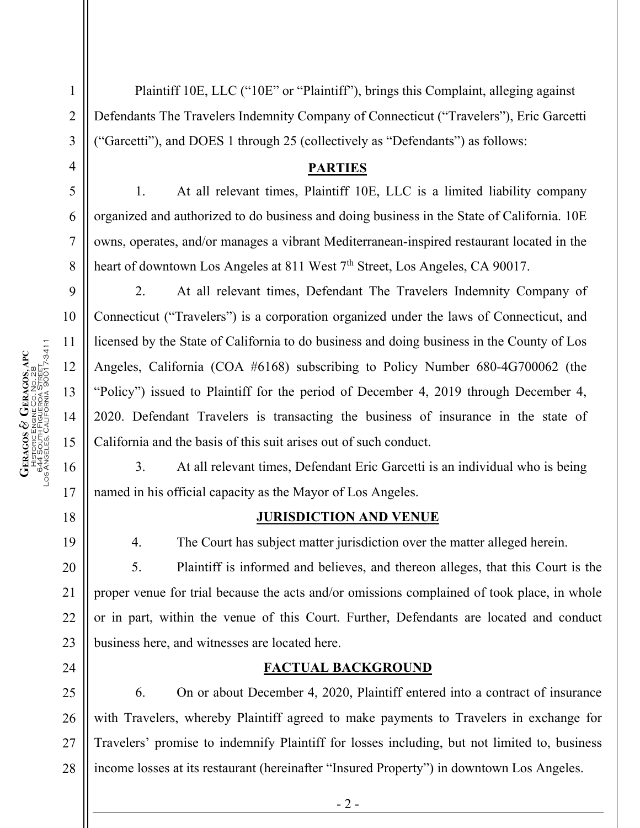**GERAGOS &** 

HISTORIC ENGINE

644 South Figueroa Street

**GERAGOS, APC**

CO. NO. 28

24

1

Plaintiff 10E, LLC ("10E" or "Plaintiff"), brings this Complaint, alleging against Defendants The Travelers Indemnity Company of Connecticut ("Travelers"), Eric Garcetti ("Garcetti"), and DOES 1 through 25 (collectively as "Defendants") as follows:

### **PARTIES**

1. At all relevant times, Plaintiff 10E, LLC is a limited liability company organized and authorized to do business and doing business in the State of California. 10E owns, operates, and/or manages a vibrant Mediterranean-inspired restaurant located in the heart of downtown Los Angeles at 811 West 7<sup>th</sup> Street, Los Angeles, CA 90017.

2. At all relevant times, Defendant The Travelers Indemnity Company of Connecticut ("Travelers") is a corporation organized under the laws of Connecticut, and licensed by the State of California to do business and doing business in the County of Los Angeles, California (COA #6168) subscribing to Policy Number 680-4G700062 (the "Policy") issued to Plaintiff for the period of December 4, 2019 through December 4, 2020. Defendant Travelers is transacting the business of insurance in the state of California and the basis of this suit arises out of such conduct.

3. At all relevant times, Defendant Eric Garcetti is an individual who is being named in his official capacity as the Mayor of Los Angeles.

#### **JURISDICTION AND VENUE**

4. The Court has subject matter jurisdiction over the matter alleged herein.

5. Plaintiff is informed and believes, and thereon alleges, that this Court is the proper venue for trial because the acts and/or omissions complained of took place, in whole or in part, within the venue of this Court. Further, Defendants are located and conduct business here, and witnesses are located here.

### **FACTUAL BACKGROUND**

25 26 27 28 6. On or about December 4, 2020, Plaintiff entered into a contract of insurance with Travelers, whereby Plaintiff agreed to make payments to Travelers in exchange for Travelers' promise to indemnify Plaintiff for losses including, but not limited to, business income losses at its restaurant (hereinafter "Insured Property") in downtown Los Angeles.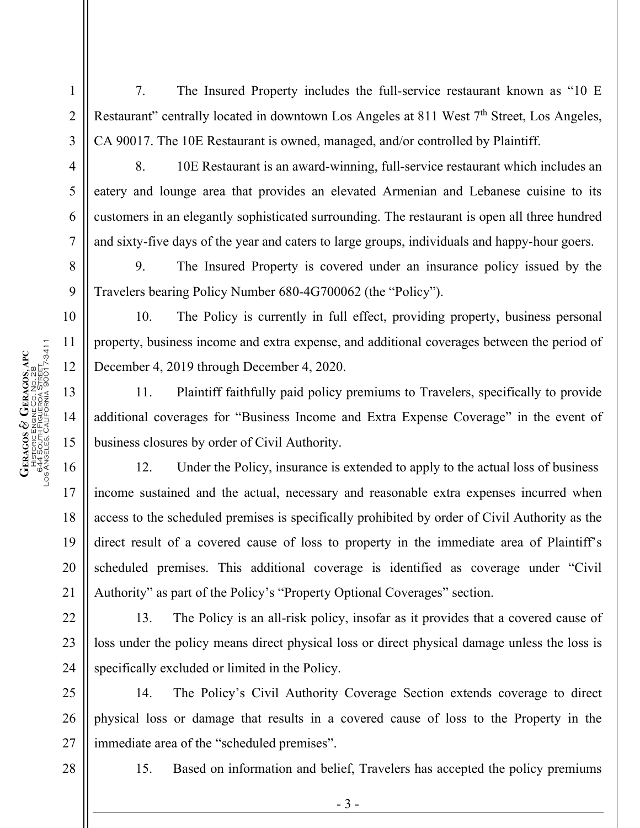**GERAGOS &** 

HISTORIC ENGINE

644 South Figueroa Street

**GERAGOS, APC**

CO. NO. 28

1

2

7. The Insured Property includes the full-service restaurant known as "10 E Restaurant" centrally located in downtown Los Angeles at 811 West 7<sup>th</sup> Street, Los Angeles, CA 90017. The 10E Restaurant is owned, managed, and/or controlled by Plaintiff.

8. 10E Restaurant is an award-winning, full-service restaurant which includes an eatery and lounge area that provides an elevated Armenian and Lebanese cuisine to its customers in an elegantly sophisticated surrounding. The restaurant is open all three hundred and sixty-five days of the year and caters to large groups, individuals and happy-hour goers.

9. The Insured Property is covered under an insurance policy issued by the Travelers bearing Policy Number 680-4G700062 (the "Policy").

10. The Policy is currently in full effect, providing property, business personal property, business income and extra expense, and additional coverages between the period of December 4, 2019 through December 4, 2020.

11. Plaintiff faithfully paid policy premiums to Travelers, specifically to provide additional coverages for "Business Income and Extra Expense Coverage" in the event of business closures by order of Civil Authority.

12. Under the Policy, insurance is extended to apply to the actual loss of business income sustained and the actual, necessary and reasonable extra expenses incurred when access to the scheduled premises is specifically prohibited by order of Civil Authority as the direct result of a covered cause of loss to property in the immediate area of Plaintiff's scheduled premises. This additional coverage is identified as coverage under "Civil Authority" as part of the Policy's "Property Optional Coverages" section.

13. The Policy is an all-risk policy, insofar as it provides that a covered cause of loss under the policy means direct physical loss or direct physical damage unless the loss is specifically excluded or limited in the Policy.

14. The Policy's Civil Authority Coverage Section extends coverage to direct physical loss or damage that results in a covered cause of loss to the Property in the immediate area of the "scheduled premises".

28

24

25

26

27

15. Based on information and belief, Travelers has accepted the policy premiums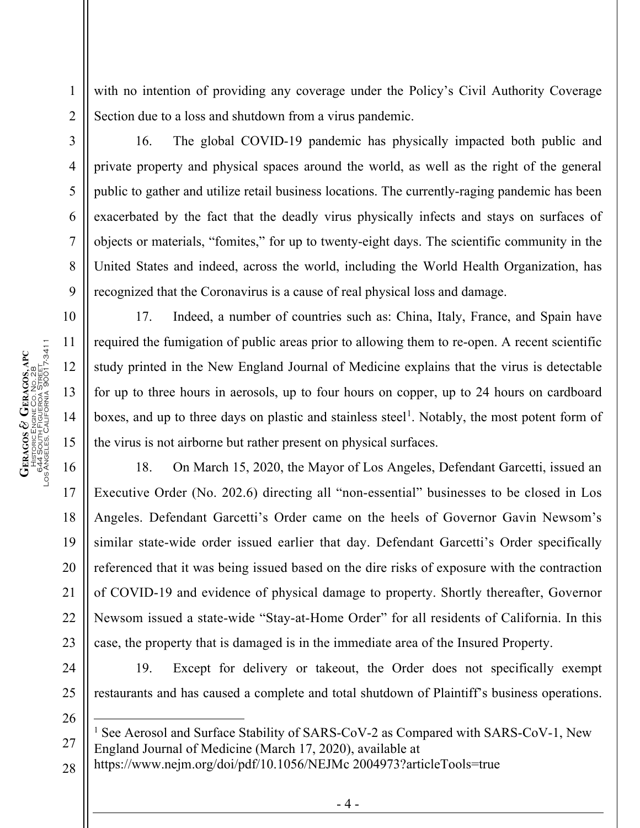with no intention of providing any coverage under the Policy's Civil Authority Coverage Section due to a loss and shutdown from a virus pandemic.

2 3

1

4

5

6

7

8

9

10

11

12

13

14

15

16

17

18

19

20

21

22

23

24

25

26

16. The global COVID-19 pandemic has physically impacted both public and private property and physical spaces around the world, as well as the right of the general public to gather and utilize retail business locations. The currently-raging pandemic has been exacerbated by the fact that the deadly virus physically infects and stays on surfaces of objects or materials, "fomites," for up to twenty-eight days. The scientific community in the United States and indeed, across the world, including the World Health Organization, has recognized that the Coronavirus is a cause of real physical loss and damage.

17. Indeed, a number of countries such as: China, Italy, France, and Spain have required the fumigation of public areas prior to allowing them to re-open. A recent scientific study printed in the New England Journal of Medicine explains that the virus is detectable for up to three hours in aerosols, up to four hours on copper, up to 24 hours on cardboard boxes, and up to three days on plastic and stainless steel<sup>[1](#page-3-0)</sup>. Notably, the most potent form of the virus is not airborne but rather present on physical surfaces.

18. On March 15, 2020, the Mayor of Los Angeles, Defendant Garcetti, issued an Executive Order (No. 202.6) directing all "non-essential" businesses to be closed in Los Angeles. Defendant Garcetti's Order came on the heels of Governor Gavin Newsom's similar state-wide order issued earlier that day. Defendant Garcetti's Order specifically referenced that it was being issued based on the dire risks of exposure with the contraction of COVID-19 and evidence of physical damage to property. Shortly thereafter, Governor Newsom issued a state-wide "Stay-at-Home Order" for all residents of California. In this case, the property that is damaged is in the immediate area of the Insured Property.

19. Except for delivery or takeout, the Order does not specifically exempt restaurants and has caused a complete and total shutdown of Plaintiff's business operations.

<span id="page-3-0"></span>27 <sup>1</sup> See Aerosol and Surface Stability of SARS-CoV-2 as Compared with SARS-CoV-1, New England Journal of Medicine (March 17, 2020), available at

28 https://www.nejm.org/doi/pdf/10.1056/NEJMc 2004973?articleTools=true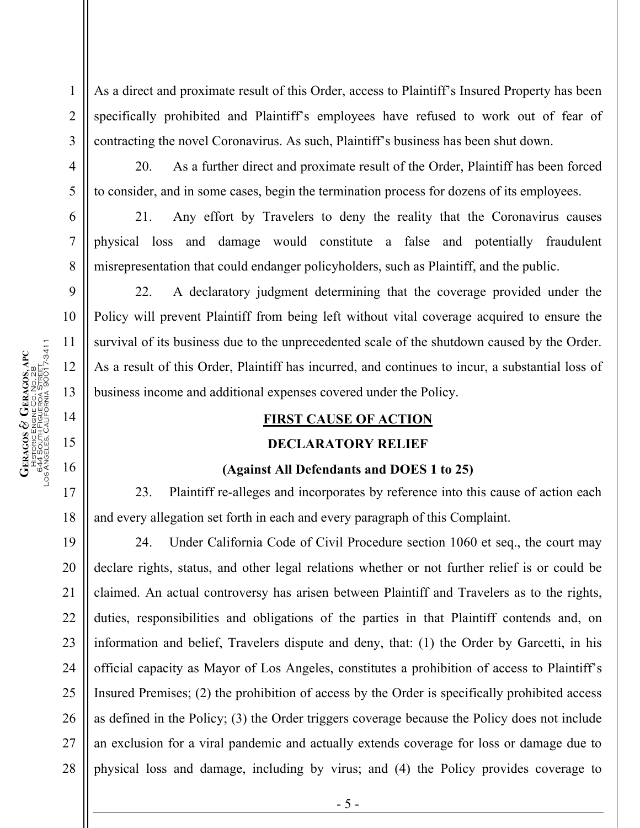10 11  $\begin{array}{c} \mathrm{GERAGOS}\ \mathcal{O}\ \mathrm{GRAGOS,} \mathrm{APC} \\ \mathrm{HSTORICENORECO, NO, 28} \\ \mathrm{S445COT, FIGUERON} \mathrm{STREJ} \\ \mathrm{OS445COT, FIGUERON} \mathrm{STREJ} \mathrm{ST} \\ \mathrm{OS44} \mathrm{STOR,} \end{array}$ Los Angeles, California 90017-3411 **GERAGOS, APC** 12 644 South Figueroa Street CO. NO. 28 13 HISTORIC ENGINE **GERAGOS &** 

1

2

3

4

5

6

7

8

9

As a direct and proximate result of this Order, access to Plaintiff's Insured Property has been specifically prohibited and Plaintiff's employees have refused to work out of fear of contracting the novel Coronavirus. As such, Plaintiff's business has been shut down.

20. As a further direct and proximate result of the Order, Plaintiff has been forced to consider, and in some cases, begin the termination process for dozens of its employees.

21. Any effort by Travelers to deny the reality that the Coronavirus causes physical loss and damage would constitute a false and potentially fraudulent misrepresentation that could endanger policyholders, such as Plaintiff, and the public.

22. A declaratory judgment determining that the coverage provided under the Policy will prevent Plaintiff from being left without vital coverage acquired to ensure the survival of its business due to the unprecedented scale of the shutdown caused by the Order. As a result of this Order, Plaintiff has incurred, and continues to incur, a substantial loss of business income and additional expenses covered under the Policy.

# **FIRST CAUSE OF ACTION**

# **DECLARATORY RELIEF**

### **(Against All Defendants and DOES 1 to 25)**

23. Plaintiff re-alleges and incorporates by reference into this cause of action each and every allegation set forth in each and every paragraph of this Complaint.

24. Under California Code of Civil Procedure section 1060 et seq., the court may declare rights, status, and other legal relations whether or not further relief is or could be claimed. An actual controversy has arisen between Plaintiff and Travelers as to the rights, duties, responsibilities and obligations of the parties in that Plaintiff contends and, on information and belief, Travelers dispute and deny, that: (1) the Order by Garcetti, in his official capacity as Mayor of Los Angeles, constitutes a prohibition of access to Plaintiff's Insured Premises; (2) the prohibition of access by the Order is specifically prohibited access as defined in the Policy; (3) the Order triggers coverage because the Policy does not include an exclusion for a viral pandemic and actually extends coverage for loss or damage due to physical loss and damage, including by virus; and (4) the Policy provides coverage to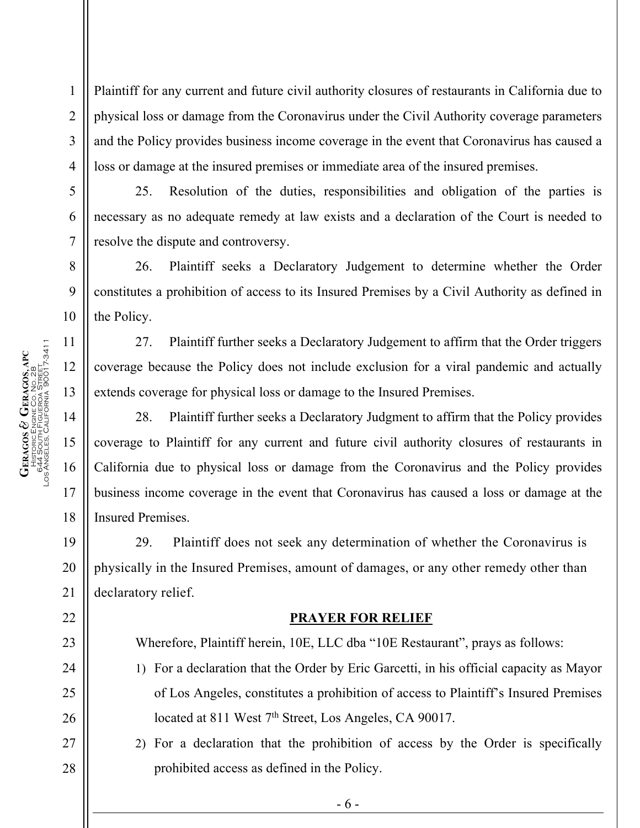Plaintiff for any current and future civil authority closures of restaurants in California due to physical loss or damage from the Coronavirus under the Civil Authority coverage parameters and the Policy provides business income coverage in the event that Coronavirus has caused a loss or damage at the insured premises or immediate area of the insured premises.

25. Resolution of the duties, responsibilities and obligation of the parties is necessary as no adequate remedy at law exists and a declaration of the Court is needed to resolve the dispute and controversy.

26. Plaintiff seeks a Declaratory Judgement to determine whether the Order constitutes a prohibition of access to its Insured Premises by a Civil Authority as defined in the Policy.

27. Plaintiff further seeks a Declaratory Judgement to affirm that the Order triggers coverage because the Policy does not include exclusion for a viral pandemic and actually extends coverage for physical loss or damage to the Insured Premises.

28. Plaintiff further seeks a Declaratory Judgment to affirm that the Policy provides coverage to Plaintiff for any current and future civil authority closures of restaurants in California due to physical loss or damage from the Coronavirus and the Policy provides business income coverage in the event that Coronavirus has caused a loss or damage at the Insured Premises.

29. Plaintiff does not seek any determination of whether the Coronavirus is physically in the Insured Premises, amount of damages, or any other remedy other than declaratory relief.

#### **PRAYER FOR RELIEF**

Wherefore, Plaintiff herein, 10E, LLC dba "10E Restaurant", prays as follows:

- 1) For a declaration that the Order by Eric Garcetti, in his official capacity as Mayor of Los Angeles, constitutes a prohibition of access to Plaintiff's Insured Premises located at 811 West 7<sup>th</sup> Street, Los Angeles, CA 90017.
- 2) For a declaration that the prohibition of access by the Order is specifically prohibited access as defined in the Policy.

1

2

3

4

5

6

7

8

9

10

11

12

13

14

15

16

17

18

19

20

21

22

23

24

25

26

27

28